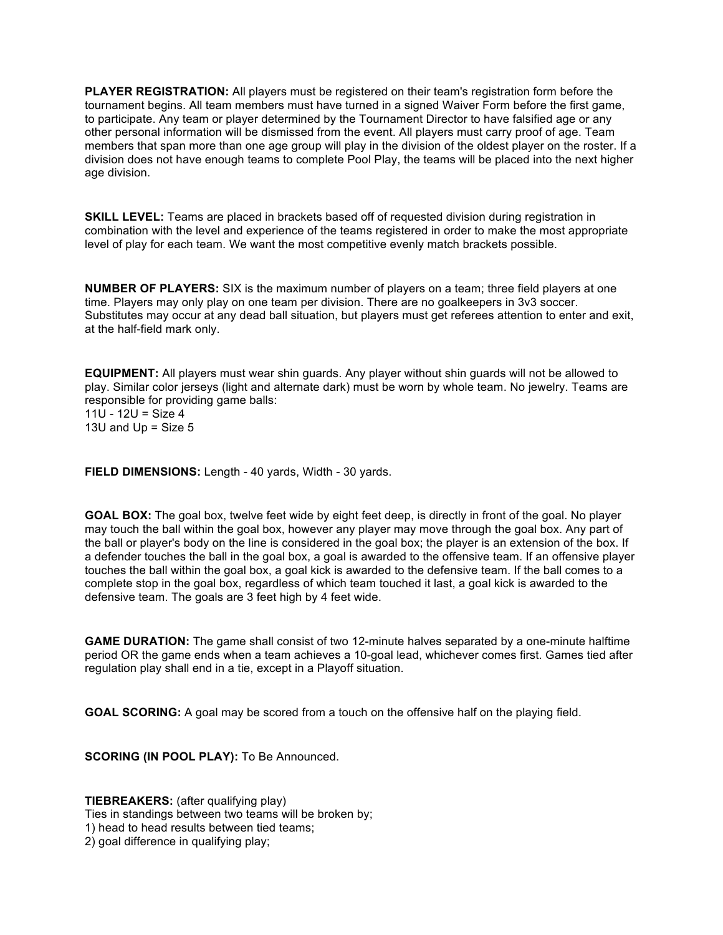**PLAYER REGISTRATION:** All players must be registered on their team's registration form before the tournament begins. All team members must have turned in a signed Waiver Form before the first game, to participate. Any team or player determined by the Tournament Director to have falsified age or any other personal information will be dismissed from the event. All players must carry proof of age. Team members that span more than one age group will play in the division of the oldest player on the roster. If a division does not have enough teams to complete Pool Play, the teams will be placed into the next higher age division.

**SKILL LEVEL:** Teams are placed in brackets based off of requested division during registration in combination with the level and experience of the teams registered in order to make the most appropriate level of play for each team. We want the most competitive evenly match brackets possible.

**NUMBER OF PLAYERS:** SIX is the maximum number of players on a team; three field players at one time. Players may only play on one team per division. There are no goalkeepers in 3v3 soccer. Substitutes may occur at any dead ball situation, but players must get referees attention to enter and exit, at the half-field mark only.

**EQUIPMENT:** All players must wear shin guards. Any player without shin guards will not be allowed to play. Similar color jerseys (light and alternate dark) must be worn by whole team. No jewelry. Teams are responsible for providing game balls:

11U - 12U = Size  $4$ 13U and  $Up = Size 5$ 

**FIELD DIMENSIONS:** Length - 40 yards, Width - 30 yards.

**GOAL BOX:** The goal box, twelve feet wide by eight feet deep, is directly in front of the goal. No player may touch the ball within the goal box, however any player may move through the goal box. Any part of the ball or player's body on the line is considered in the goal box; the player is an extension of the box. If a defender touches the ball in the goal box, a goal is awarded to the offensive team. If an offensive player touches the ball within the goal box, a goal kick is awarded to the defensive team. If the ball comes to a complete stop in the goal box, regardless of which team touched it last, a goal kick is awarded to the defensive team. The goals are 3 feet high by 4 feet wide.

**GAME DURATION:** The game shall consist of two 12-minute halves separated by a one-minute halftime period OR the game ends when a team achieves a 10-goal lead, whichever comes first. Games tied after regulation play shall end in a tie, except in a Playoff situation.

**GOAL SCORING:** A goal may be scored from a touch on the offensive half on the playing field.

**SCORING (IN POOL PLAY):** To Be Announced.

**TIEBREAKERS:** (after qualifying play) Ties in standings between two teams will be broken by; 1) head to head results between tied teams; 2) goal difference in qualifying play;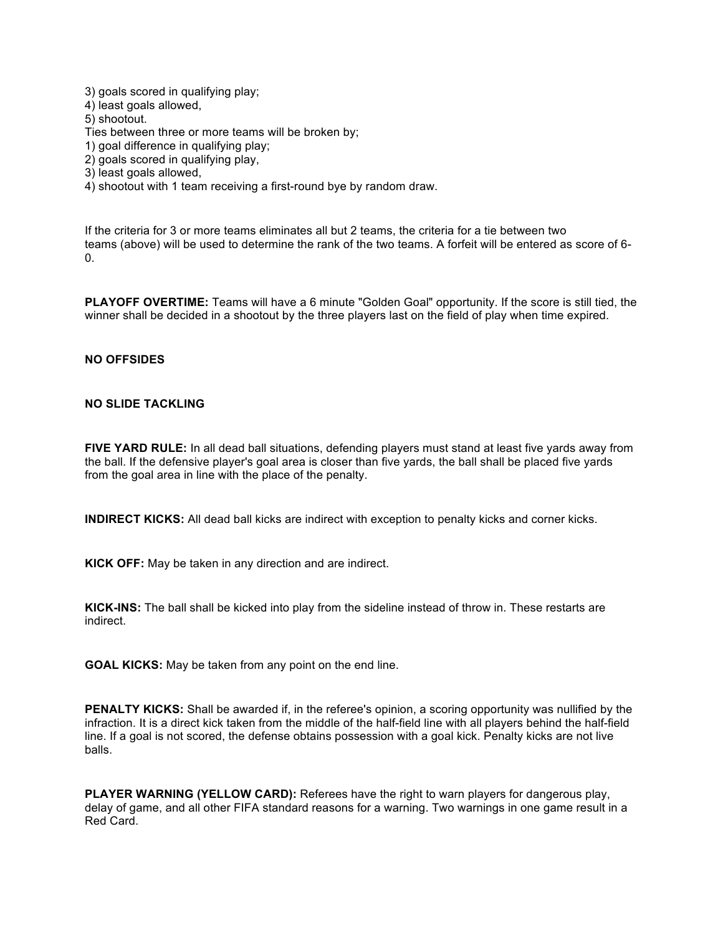3) goals scored in qualifying play;

4) least goals allowed,

5) shootout.

Ties between three or more teams will be broken by;

- 1) goal difference in qualifying play;
- 2) goals scored in qualifying play,
- 3) least goals allowed,

4) shootout with 1 team receiving a first-round bye by random draw.

If the criteria for 3 or more teams eliminates all but 2 teams, the criteria for a tie between two teams (above) will be used to determine the rank of the two teams. A forfeit will be entered as score of 6- 0.

**PLAYOFF OVERTIME:** Teams will have a 6 minute "Golden Goal" opportunity. If the score is still tied, the winner shall be decided in a shootout by the three players last on the field of play when time expired.

## **NO OFFSIDES**

## **NO SLIDE TACKLING**

**FIVE YARD RULE:** In all dead ball situations, defending players must stand at least five yards away from the ball. If the defensive player's goal area is closer than five yards, the ball shall be placed five yards from the goal area in line with the place of the penalty.

**INDIRECT KICKS:** All dead ball kicks are indirect with exception to penalty kicks and corner kicks.

**KICK OFF:** May be taken in any direction and are indirect.

**KICK-INS:** The ball shall be kicked into play from the sideline instead of throw in. These restarts are indirect.

**GOAL KICKS:** May be taken from any point on the end line.

**PENALTY KICKS:** Shall be awarded if, in the referee's opinion, a scoring opportunity was nullified by the infraction. It is a direct kick taken from the middle of the half-field line with all players behind the half-field line. If a goal is not scored, the defense obtains possession with a goal kick. Penalty kicks are not live balls.

**PLAYER WARNING (YELLOW CARD):** Referees have the right to warn players for dangerous play, delay of game, and all other FIFA standard reasons for a warning. Two warnings in one game result in a Red Card.